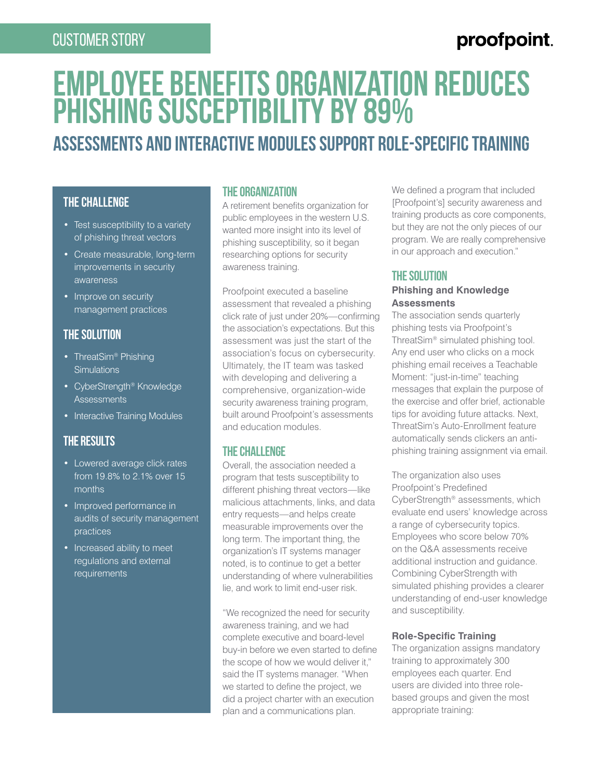### Customer Story

### proofpoint.

# **Employee Benefits Organization Reduces Phishing Susceptibility by 89%**

## **Assessments and interactive modules support role-specific training**

### **the challenge**

- Test susceptibility to a variety of phishing threat vectors
- Create measurable, long-term improvements in security awareness
- Improve on security management practices

#### **the Solution**

- ThreatSim<sup>®</sup> Phishing **Simulations**
- CyberStrength® Knowledge **Assessments**
- Interactive Training Modules

#### **the Results**

- Lowered average click rates from 19.8% to 2.1% over 15 months
- Improved performance in audits of security management practices
- Increased ability to meet regulations and external requirements

#### **The Organization**

A retirement benefits organization for public employees in the western U.S. wanted more insight into its level of phishing susceptibility, so it began researching options for security awareness training.

Proofpoint executed a baseline assessment that revealed a phishing click rate of just under 20%—confirming the association's expectations. But this assessment was just the start of the association's focus on cybersecurity. Ultimately, the IT team was tasked with developing and delivering a comprehensive, organization-wide security awareness training program, built around Proofpoint's assessments and education modules.

#### **THE CHALLENGE**

Overall, the association needed a program that tests susceptibility to different phishing threat vectors—like malicious attachments, links, and data entry requests—and helps create measurable improvements over the long term. The important thing, the organization's IT systems manager noted, is to continue to get a better understanding of where vulnerabilities lie, and work to limit end-user risk.

"We recognized the need for security awareness training, and we had complete executive and board-level buy-in before we even started to define the scope of how we would deliver it," said the IT systems manager. "When we started to define the project, we did a project charter with an execution plan and a communications plan.

We defined a program that included [Proofpoint's] security awareness and training products as core components, but they are not the only pieces of our program. We are really comprehensive in our approach and execution."

#### **The Solution**

#### **Phishing and Knowledge Assessments**

The association sends quarterly phishing tests via Proofpoint's ThreatSim® simulated phishing tool. Any end user who clicks on a mock phishing email receives a Teachable Moment: "just-in-time" teaching messages that explain the purpose of the exercise and offer brief, actionable tips for avoiding future attacks. Next, ThreatSim's Auto-Enrollment feature automatically sends clickers an antiphishing training assignment via email.

The organization also uses Proofpoint's Predefined CyberStrength® assessments, which evaluate end users' knowledge across a range of cybersecurity topics. Employees who score below 70% on the Q&A assessments receive additional instruction and guidance. Combining CyberStrength with simulated phishing provides a clearer understanding of end-user knowledge and susceptibility.

#### **Role-Specific Training**

The organization assigns mandatory training to approximately 300 employees each quarter. End users are divided into three rolebased groups and given the most appropriate training: